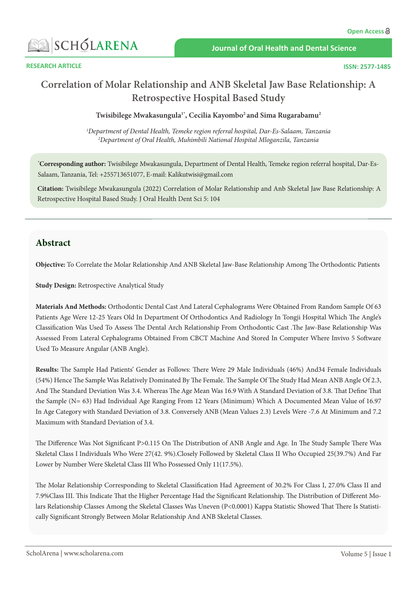

 **RESEARCH ARTICLE**

# **Correlation of Molar Relationship and ANB Skeletal Jaw Base Relationship: A Retrospective Hospital Based Study**

**Twisibilege Mwakasungula1\*, Cecilia Kayombo2 and Sima Rugarabamu2**

*1 Department of Dental Health, Temeke region referral hospital, Dar-Es-Salaam, Tanzania 2 Department of Oral Health, Muhimbili National Hospital Mloganzila, Tanzania*

**\* Corresponding author:** Twisibilege Mwakasungula, Department of Dental Health, Temeke region referral hospital, Dar-Es-Salaam, Tanzania, Tel: +255713651077, E-mail: Kalikutwisi@gmail.com

**Citation:** Twisibilege Mwakasungula (2022) Correlation of Molar Relationship and Anb Skeletal Jaw Base Relationship: A Retrospective Hospital Based Study. J Oral Health Dent Sci 5: 104

# **Abstract**

**Objective:** To Correlate the Molar Relationship And ANB Skeletal Jaw-Base Relationship Among The Orthodontic Patients

**Study Design:** Retrospective Analytical Study

**Materials And Methods:** Orthodontic Dental Cast And Lateral Cephalograms Were Obtained From Random Sample Of 63 Patients Age Were 12-25 Years Old In Department Of Orthodontics And Radiology In Tongji Hospital Which The Angle's Classification Was Used To Assess The Dental Arch Relationship From Orthodontic Cast .The Jaw-Base Relationship Was Assessed From Lateral Cephalograms Obtained From CBCT Machine And Stored In Computer Where Invivo 5 Software Used To Measure Angular (ANB Angle).

**Results:** The Sample Had Patients' Gender as Follows: There Were 29 Male Individuals (46%) And34 Female Individuals (54%) Hence The Sample Was Relatively Dominated By The Female. The Sample Of The Study Had Mean ANB Angle Of 2.3, And The Standard Deviation Was 3.4. Whereas The Age Mean Was 16.9 With A Standard Deviation of 3.8. That Define That the Sample (N= 63) Had Individual Age Ranging From 12 Years (Minimum) Which A Documented Mean Value of 16.97 In Age Category with Standard Deviation of 3.8. Conversely ANB (Mean Values 2.3) Levels Were -7.6 At Minimum and 7.2 Maximum with Standard Deviation of 3.4.

The Difference Was Not Significant P>0.115 On The Distribution of ANB Angle and Age. In The Study Sample There Was Skeletal Class I Individuals Who Were 27(42. 9%).Closely Followed by Skeletal Class II Who Occupied 25(39.7%) And Far Lower by Number Were Skeletal Class III Who Possessed Only 11(17.5%).

The Molar Relationship Corresponding to Skeletal Classification Had Agreement of 30.2% For Class I, 27.0% Class II and 7.9%Class III. This Indicate That the Higher Percentage Had the Significant Relationship. The Distribution of Different Molars Relationship Classes Among the Skeletal Classes Was Uneven (P<0.0001) Kappa Statistic Showed That There Is Statistically Significant Strongly Between Molar Relationship And ANB Skeletal Classes.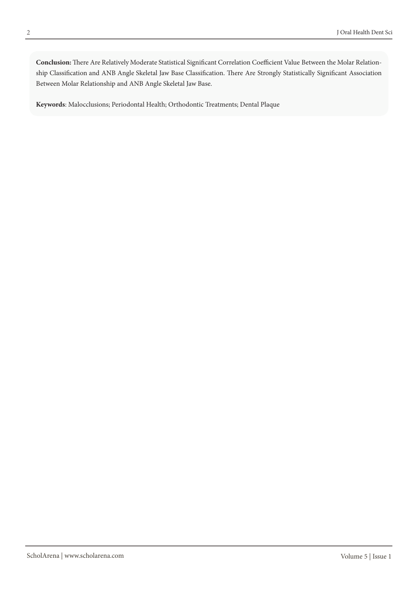**Conclusion:** There Are Relatively Moderate Statistical Significant Correlation Coefficient Value Between the Molar Relationship Classification and ANB Angle Skeletal Jaw Base Classification. There Are Strongly Statistically Significant Association Between Molar Relationship and ANB Angle Skeletal Jaw Base.

**Keywords**: Malocclusions; Periodontal Health; Orthodontic Treatments; Dental Plaque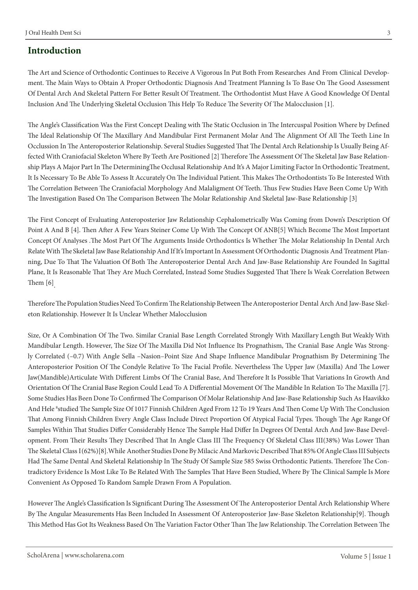# **Introduction**

The Art and Science of Orthodontic Continues to Receive A Vigorous In Put Both From Researches And From Clinical Development. The Main Ways to Obtain A Proper Orthodontic Diagnosis And Treatment Planning Is To Base On The Good Assessment Of Dental Arch And Skeletal Pattern For Better Result Of Treatment. The Orthodontist Must Have A Good Knowledge Of Dental Inclusion And The Underlying Skeletal Occlusion This Help To Reduce The Severity Of The Malocclusion [1].

The Angle's Classification Was the First Concept Dealing with The Static Occlusion in The Intercuspal Position Where by Defined The Ideal Relationship Of The Maxillary And Mandibular First Permanent Molar And The Alignment Of All The Teeth Line In Occlussion In The Anteroposterior Relationship. Several Studies Suggested That The Dental Arch Relationship Is Usually Being Affected With Craniofacial Skeleton Where By Teeth Are Positioned [2] Therefore The Assessment Of The Skeletal Jaw Base Relationship Plays A Major Part In The Determining The Occlusal Relationship And It's A Major Limiting Factor In Orthodontic Treatment, It Is Necessary To Be Able To Assess It Accurately On The Individual Patient. This Makes The Orthodontists To Be Interested With The Correlation Between The Craniofacial Morphology And Malaligment Of Teeth. Thus Few Studies Have Been Come Up With The Investigation Based On The Comparison Between The Molar Relationship And Skeletal Jaw-Base Relationship [3]

The First Concept of Evaluating Anteroposterior Jaw Relationship Cephalometrically Was Coming from Down's Description Of Point A And B [4]. Then After A Few Years Steiner Come Up With The Concept Of ANB[5] Which Become The Most Important Concept Of Analyses .The Most Part Of The Arguments Inside Orthodontics Is Whether The Molar Relationship In Dental Arch Relate With The Skeletal Jaw Base Relationship And If It's Important In Assessment Of Orthodontic Diagnosis And Treatment Planning, Due To That The Valuation Of Both The Anteroposterior Dental Arch And Jaw-Base Relationship Are Founded In Sagittal Plane, It Is Reasonable That They Are Much Correlated, Instead Some Studies Suggested That There Is Weak Correlation Between Them [6].

Therefore The Population Studies Need To Confirm The Relationship Between The Anteroposterior Dental Arch And Jaw-Base Skeleton Relationship. However It Is Unclear Whether Malocclusion

Size, Or A Combination Of The Two. Similar Cranial Base Length Correlated Strongly With Maxillary Length But Weakly With Mandibular Length. However, The Size Of The Maxilla Did Not Influence Its Prognathism, The Cranial Base Angle Was Strongly Correlated (–0.7) With Angle Sella –Nasion–Point Size And Shape Influence Mandibular Prognathism By Determining The Anteroposterior Position Of The Condyle Relative To The Facial Profile. Nevertheless The Upper Jaw (Maxilla) And The Lower Jaw(Mandible)Articulate With Different Limbs Of The Cranial Base, And Therefore It Is Possible That Variations In Growth And Orientation Of The Cranial Base Region Could Lead To A Differential Movement Of The Mandible In Relation To The Maxilla [7]. Some Studies Has Been Done To Confirmed The Comparison Of Molar Relationship And Jaw-Base Relationship Such As Haavikko And Hele 8 studied The Sample Size Of 1017 Finnish Children Aged From 12 To 19 Years And Then Come Up With The Conclusion That Among Finnish Children Every Angle Class Include Direct Proportion Of Atypical Facial Types. Though The Age Range Of Samples Within That Studies Differ Considerably Hence The Sample Had Differ In Degrees Of Dental Arch And Jaw-Base Development. From Their Results They Described That In Angle Class III The Frequency Of Skeletal Class III(38%) Was Lower Than The Skeletal Class I (62%)[8].While Another Studies Done By Milacic And Markovic Described That 85% Of Angle Class III Subjects Had The Same Dental And Skeletal Relationship In The Study Of Sample Size 585 Swiss Orthodontic Patients. Therefore The Contradictory Evidence Is Most Like To Be Related With The Samples That Have Been Studied, Where By The Clinical Sample Is More Convenient As Opposed To Random Sample Drawn From A Population.

However The Angle's Classification Is Significant During The Assessment Of The Anteroposterior Dental Arch Relationship Where By The Angular Measurements Has Been Included In Assessment Of Anteroposterior Jaw-Base Skeleton Relationship[9]. Though This Method Has Got Its Weakness Based On The Variation Factor Other Than The Jaw Relationship. The Correlation Between The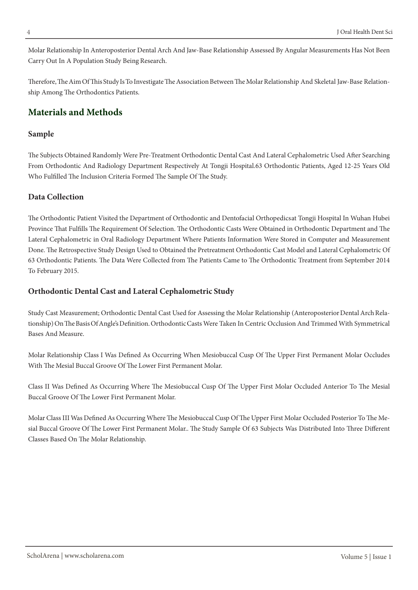Molar Relationship In Anteroposterior Dental Arch And Jaw-Base Relationship Assessed By Angular Measurements Has Not Been Carry Out In A Population Study Being Research.

Therefore, The Aim Of This Study Is To Investigate The Association Between The Molar Relationship And Skeletal Jaw-Base Relationship Among The Orthodontics Patients.

# **Materials and Methods**

### **Sample**

The Subjects Obtained Randomly Were Pre-Treatment Orthodontic Dental Cast And Lateral Cephalometric Used After Searching From Orthodontic And Radiology Department Respectively At Tongji Hospital.63 Orthodontic Patients, Aged 12-25 Years Old Who Fulfilled The Inclusion Criteria Formed The Sample Of The Study.

# **Data Collection**

The Orthodontic Patient Visited the Department of Orthodontic and Dentofacial Orthopedics at Tongji Hospital In Wuhan Hubei Province That Fulfills The Requirement Of Selection. The Orthodontic Casts Were Obtained in Orthodontic Department and The Lateral Cephalometric in Oral Radiology Department Where Patients Information Were Stored in Computer and Measurement Done. The Retrospective Study Design Used to Obtained the Pretreatment Orthodontic Cast Model and Lateral Cephalometric Of 63 Orthodontic Patients. The Data Were Collected from The Patients Came to The Orthodontic Treatment from September 2014 To February 2015.

# **Orthodontic Dental Cast and Lateral Cephalometric Study**

Study Cast Measurement; Orthodontic Dental Cast Used for Assessing the Molar Relationship (Anteroposterior Dental Arch Relationship) On The Basis Of Angle's Definition. Orthodontic Casts Were Taken In Centric Occlusion And Trimmed With Symmetrical Bases And Measure.

Molar Relationship Class I Was Defined As Occurring When Mesiobuccal Cusp Of The Upper First Permanent Molar Occludes With The Mesial Buccal Groove Of The Lower First Permanent Molar.

Class II Was Defined As Occurring Where The Mesiobuccal Cusp Of The Upper First Molar Occluded Anterior To The Mesial Buccal Groove Of The Lower First Permanent Molar.

Molar Class III Was Defined As Occurring Where The Mesiobuccal Cusp Of The Upper First Molar Occluded Posterior To The Mesial Buccal Groove Of The Lower First Permanent Molar.. The Study Sample Of 63 Subjects Was Distributed Into Three Different Classes Based On The Molar Relationship.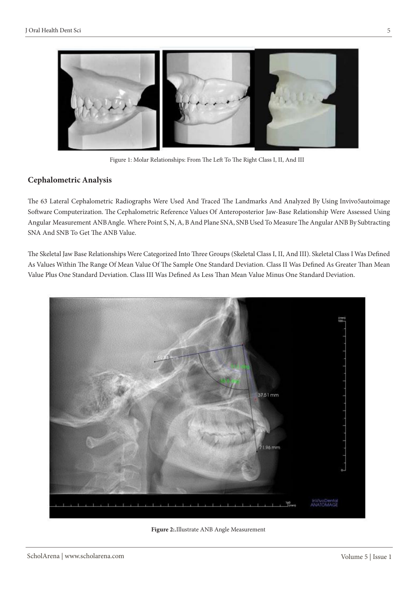

Figure 1: Molar Relationships: From The Left To The Right Class I, II, And III

### **Cephalometric Analysis**

The 63 Lateral Cephalometric Radiographs Were Used And Traced The Landmarks And Analyzed By Using Invivo5autoimage Software Computerization. The Cephalometric Reference Values Of Anteroposterior Jaw-Base Relationship Were Assessed Using Angular Measurement ANB Angle. Where Point S, N, A, B And Plane SNA, SNB Used To Measure The Angular ANB By Subtracting SNA And SNB To Get The ANB Value.

The Skeletal Jaw Base Relationships Were Categorized Into Three Groups (Skeletal Class I, II, And III). Skeletal Class I Was Defined As Values Within The Range Of Mean Value Of The Sample One Standard Deviation. Class II Was Defined As Greater Than Mean Value Plus One Standard Deviation. Class III Was Defined As Less Than Mean Value Minus One Standard Deviation.



**Figure 2:.**Illustrate ANB Angle Measurement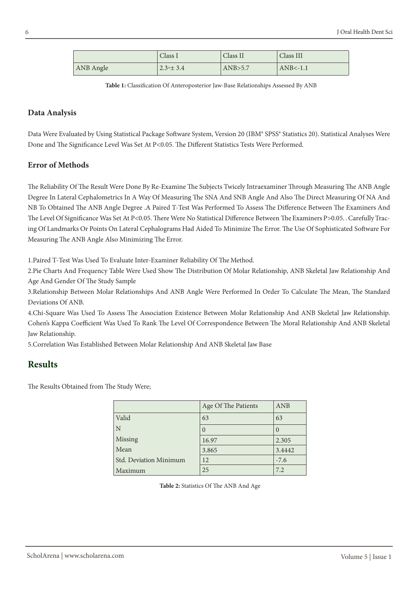|           | Class I          | Class II | Class III  |
|-----------|------------------|----------|------------|
| ANB Angle | $2.3 \times 3.4$ | AND>5.7  | $ANB<-1.1$ |

**Table 1:** Classification Of Anteroposterior Jaw-Base Relationships Assessed By ANB

### **Data Analysis**

Data Were Evaluated by Using Statistical Package Software System, Version 20 (IBM® SPSS® Statistics 20). Statistical Analyses Were Done and The Significance Level Was Set At P<0.05. The Different Statistics Tests Were Performed.

### **Error of Methods**

The Reliability Of The Result Were Done By Re-Examine The Subjects Twicely Intraexaminer Through Measuring The ANB Angle Degree In Lateral Cephalometrics In A Way Of Measuring The SNA And SNB Angle And Also The Direct Measuring Of NA And NB To Obtained The ANB Angle Degree .A Paired T-Test Was Performed To Assess The Difference Between The Examiners And The Level Of Significance Was Set At P<0.05. There Were No Statistical Difference Between The Examiners P>0.05. . Carefully Tracing Of Landmarks Or Points On Lateral Cephalograms Had Aided To Minimize The Error. The Use Of Sophisticated Software For Measuring The ANB Angle Also Minimizing The Error.

1.Paired T-Test Was Used To Evaluate Inter-Examiner Reliability Of The Method.

2.Pie Charts And Frequency Table Were Used Show The Distribution Of Molar Relationship, ANB Skeletal Jaw Relationship And Age And Gender Of The Study Sample

3.Relationship Between Molar Relationships And ANB Angle Were Performed In Order To Calculate The Mean, The Standard Deviations Of ANB.

4.Chi-Square Was Used To Assess The Association Existence Between Molar Relationship And ANB Skeletal Jaw Relationship. Cohen's Kappa Coefficient Was Used To Rank The Level Of Correspondence Between The Moral Relationship And ANB Skeletal Jaw Relationship.

5.Correlation Was Established Between Molar Relationship And ANB Skeletal Jaw Base

# **Results**

The Results Obtained from The Study Were;

|                        | Age Of The Patients | ANB              |
|------------------------|---------------------|------------------|
| Valid                  | 63                  | 63               |
| N                      | $\left( \right)$    | $\left( \right)$ |
| Missing                | 16.97               | 2.305            |
| Mean                   | 3.865               | 3.4442           |
| Std. Deviation Minimum | 12                  | $-7.6$           |
| Maximum                | 25                  | 7.2              |

**Table 2:** Statistics Of The ANB And Age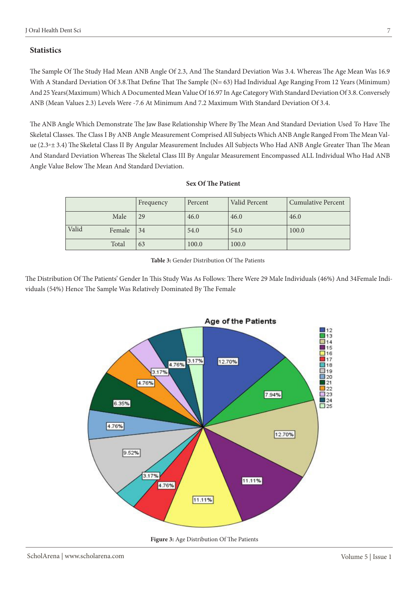### **Statistics**

The Sample Of The Study Had Mean ANB Angle Of 2.3, And The Standard Deviation Was 3.4. Whereas The Age Mean Was 16.9 With A Standard Deviation Of 3.8.That Define That The Sample (N= 63) Had Individual Age Ranging From 12 Years (Minimum) And 25 Years(Maximum) Which A Documented Mean Value Of 16.97 In Age Category With Standard Deviation Of 3.8. Conversely ANB (Mean Values 2.3) Levels Were -7.6 At Minimum And 7.2 Maximum With Standard Deviation Of 3.4.

The ANB Angle Which Demonstrate The Jaw Base Relationship Where By The Mean And Standard Deviation Used To Have The Skeletal Classes. The Class I By ANB Angle Measurement Comprised All Subjects Which ANB Angle Ranged From The Mean Value (2.3◦± 3.4) The Skeletal Class II By Angular Measurement Includes All Subjects Who Had ANB Angle Greater Than The Mean And Standard Deviation Whereas The Skeletal Class III By Angular Measurement Encompassed ALL Individual Who Had ANB Angle Value Below The Mean And Standard Deviation.

#### **Sex Of The Patient**

|       |        | Frequency | Percent | Valid Percent | <b>Cumulative Percent</b> |
|-------|--------|-----------|---------|---------------|---------------------------|
|       | Male   | 29        | 46.0    | 46.0          | 46.0                      |
| Valid | Female | 34        | 54.0    | 54.0          | 100.0                     |
|       | Total  | 63        | 100.0   | 100.0         |                           |

**Table 3:** Gender Distribution Of The Patients

The Distribution Of The Patients' Gender In This Study Was As Follows: There Were 29 Male Individuals (46%) And 34Female Individuals (54%) Hence The Sample Was Relatively Dominated By The Female



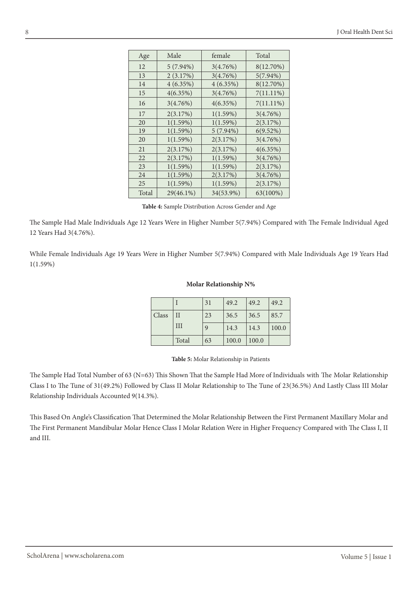| Age   | Male        | female      | Total        |
|-------|-------------|-------------|--------------|
| 12    | $5(7.94\%)$ | 3(4.76%)    | 8(12.70%)    |
| 13    | 2(3.17%)    | 3(4.76%)    | $5(7.94\%)$  |
| 14    | 4(6.35%)    | 4(6.35%)    | 8(12.70%)    |
| 15    | 4(6.35%)    | 3(4.76%)    | $7(11.11\%)$ |
| 16    | 3(4.76%)    | $4(6.35\%)$ | $7(11.11\%)$ |
| 17    | 2(3.17%)    | 1(1.59%)    | 3(4.76%)     |
| 20    | 1(1.59%)    | 1(1.59%)    | 2(3.17%)     |
| 19    | 1(1.59%)    | $5(7.94\%)$ | 6(9.52%)     |
| 20    | 1(1.59%)    | 2(3.17%)    | 3(4.76%)     |
| 21    | 2(3.17%)    | 2(3.17%)    | 4(6.35%)     |
| 22    | 2(3.17%)    | 1(1.59%)    | 3(4.76%)     |
| 23    | 1(1.59%)    | 1(1.59%)    | 2(3.17%)     |
| 24    | 1(1.59%)    | 2(3.17%)    | 3(4.76%)     |
| 25    | 1(1.59%)    | 1(1.59%)    | 2(3.17%)     |
| Total | 29(46.1%)   | 34(53.9%)   | 63(100%)     |

**Table 4:** Sample Distribution Across Gender and Age

The Sample Had Male Individuals Age 12 Years Were in Higher Number 5(7.94%) Compared with The Female Individual Aged 12 Years Had 3(4.76%).

While Female Individuals Age 19 Years Were in Higher Number 5(7.94%) Compared with Male Individuals Age 19 Years Had 1(1.59%)

#### **Molar Relationship N%**

|       |              | 31 | 49.2  | 49.2  | 49.2  |
|-------|--------------|----|-------|-------|-------|
| Class | $\mathbf{I}$ | 23 | 36.5  | 36.5  | 85.7  |
|       | <b>III</b>   | 9  | 14.3  | 14.3  | 100.0 |
|       | Total        | 63 | 100.0 | 100.0 |       |

**Table 5:** Molar Relationship in Patients

The Sample Had Total Number of 63 (N=63) This Shown That the Sample Had More of Individuals with The Molar Relationship Class I to The Tune of 31(49.2%) Followed by Class II Molar Relationship to The Tune of 23(36.5%) And Lastly Class III Molar Relationship Individuals Accounted 9(14.3%).

This Based On Angle's Classification That Determined the Molar Relationship Between the First Permanent Maxillary Molar and The First Permanent Mandibular Molar Hence Class I Molar Relation Were in Higher Frequency Compared with The Class I, II and III.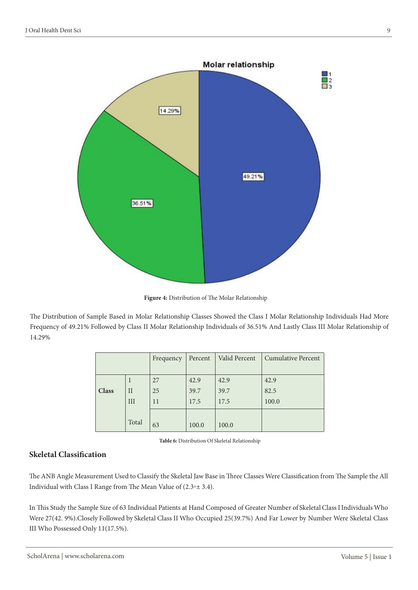

**Figure 4:** Distribution of The Molar Relationship

The Distribution of Sample Based in Molar Relationship Classes Showed the Class I Molar Relationship Individuals Had More Frequency of 49.21% Followed by Class II Molar Relationship Individuals of 36.51% And Lastly Class III Molar Relationship of 14.29%

|              |             | Frequency | Percent | Valid Percent | <b>Cumulative Percent</b> |
|--------------|-------------|-----------|---------|---------------|---------------------------|
|              |             | 27        | 42.9    | 42.9          | 42.9                      |
| <b>Class</b> | $_{\rm II}$ | 25        | 39.7    | 39.7          | 82.5                      |
|              | III         | 11        | 17.5    | 17.5          | 100.0                     |
|              | Total       | 63        | 100.0   | 100.0         |                           |

| Table 6: Distribution Of Skeletal Relationship |  |
|------------------------------------------------|--|
|------------------------------------------------|--|

### **Skeletal Classification**

The ANB Angle Measurement Used to Classify the Skeletal Jaw Base in Three Classes Were Classification from The Sample the All Individual with Class I Range from The Mean Value of (2.3◦± 3.4).

In This Study the Sample Size of 63 Individual Patients at Hand Composed of Greater Number of Skeletal Class I Individuals Who Were 27(42. 9%).Closely Followed by Skeletal Class II Who Occupied 25(39.7%) And Far Lower by Number Were Skeletal Class III Who Possessed Only 11(17.5%).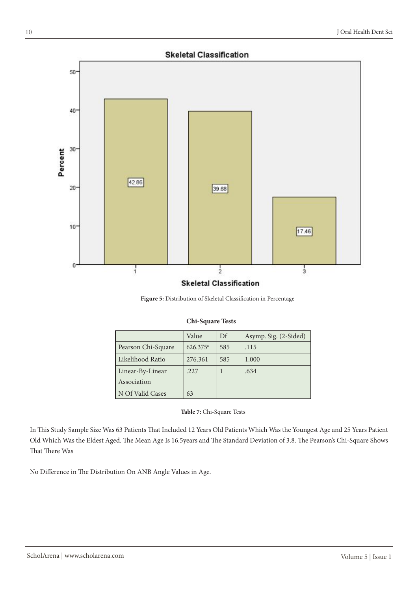### **Skeletal Classification**



#### **Figure 5:** Distribution of Skeletal Classification in Percentage

| <b>Chi-Square Tests</b> |  |
|-------------------------|--|
|-------------------------|--|

|                    | Value                | Df  | Asymp. Sig. (2-Sided) |
|--------------------|----------------------|-----|-----------------------|
| Pearson Chi-Square | 626.375 <sup>a</sup> | 585 | .115                  |
| Likelihood Ratio   | 276.361              | 585 | 1.000                 |
| Linear-By-Linear   | .227                 |     | .634                  |
| Association        |                      |     |                       |
| N Of Valid Cases   | 63                   |     |                       |

#### **Table 7:** Chi-Square Tests

In This Study Sample Size Was 63 Patients That Included 12 Years Old Patients Which Was the Youngest Age and 25 Years Patient Old Which Was the Eldest Aged. The Mean Age Is 16.5years and The Standard Deviation of 3.8. The Pearson's Chi-Square Shows That There Was

No Difference in The Distribution On ANB Angle Values in Age.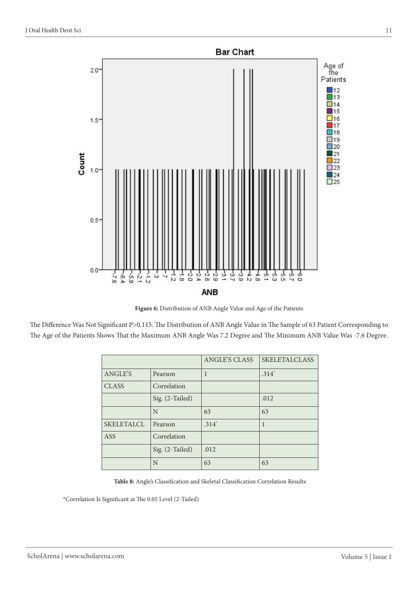

**Figure 6:** Distribution of ANB Angle Value and Age of the Patients

The Difference Was Not Significant P>0.115. The Distribution of ANB Angle Value in The Sample of 63 Patient Corresponding to The Age of the Patients Shows That the Maximum ANB Angle Was 7.2 Degree and The Minimum ANB Value Was -7.6 Degree.

|                   |                 | <b>ANGLE'S CLASS</b> | <b>SKELETALCLASS</b> |
|-------------------|-----------------|----------------------|----------------------|
| ANGLE'S           | Pearson         | 1                    | $.314*$              |
| <b>CLASS</b>      | Correlation     |                      |                      |
|                   | Sig. (2-Tailed) |                      | .012                 |
|                   | N               | 63                   | 63                   |
| <b>SKELETALCL</b> | Pearson         | $.314*$              |                      |
| ASS               | Correlation     |                      |                      |
|                   | Sig. (2-Tailed) | .012                 |                      |
|                   | N               | 63                   | 63                   |

**Table 8:** Angle's Classification and Skeletal Classification Correlation Results

\*Correlation Is Significant at The 0.05 Level (2-Tailed)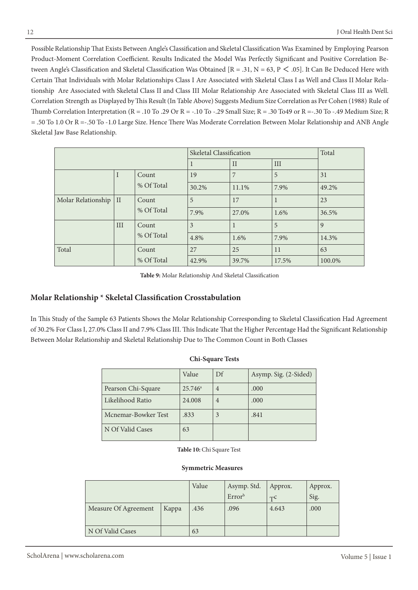Possible Relationship That Exists Between Angle's Classification and Skeletal Classification Was Examined by Employing Pearson Product-Moment Correlation Coefficient. Results Indicated the Model Was Perfectly Significant and Positive Correlation Between Angle's Classification and Skeletal Classification Was Obtained  $[R = .31, N = 63, P \le .05]$ . It Can Be Deduced Here with Certain That Individuals with Molar Relationships Class I Are Associated with Skeletal Class I as Well and Class II Molar Relationship Are Associated with Skeletal Class II and Class III Molar Relationship Are Associated with Skeletal Class III as Well. Correlation Strength as Displayed by This Result (In Table Above) Suggests Medium Size Correlation as Per Cohen (1988) Rule of Thumb Correlation Interpretation (R = .10 To .29 Or R = -.10 To -.29 Small Size; R = .30 To49 or R =-.30 To -.49 Medium Size; R = .50 To 1.0 Or R =-.50 To -1.0 Large Size. Hence There Was Moderate Correlation Between Molar Relationship and ANB Angle Skeletal Jaw Base Relationship.

|                    |               | Skeletal Classification |       |              | Total |        |
|--------------------|---------------|-------------------------|-------|--------------|-------|--------|
|                    |               |                         |       | $\mathbf{I}$ | III   |        |
|                    |               | Count                   | 19    | 7            | 5     | 31     |
|                    | % Of Total    |                         | 30.2% | 11.1%        | 7.9%  | 49.2%  |
| Molar Relationship | $\mathcal{I}$ | Count                   | 5     | 17           | -1    | 23     |
|                    | % Of Total    |                         | 7.9%  | 27.0%        | 1.6%  | 36.5%  |
|                    | III           | Count                   | 3     |              | 5     | 9      |
|                    |               | % Of Total              | 4.8%  | 1.6%         | 7.9%  | 14.3%  |
| Total              |               | Count                   | 27    | 25           | 11    | 63     |
|                    |               | % Of Total              | 42.9% | 39.7%        | 17.5% | 100.0% |

**Table 9:** Molar Relationship And Skeletal Classification

### **Molar Relationship \* Skeletal Classification Crosstabulation**

In This Study of the Sample 63 Patients Shows the Molar Relationship Corresponding to Skeletal Classification Had Agreement of 30.2% For Class I, 27.0% Class II and 7.9% Class III. This Indicate That the Higher Percentage Had the Significant Relationship Between Molar Relationship and Skeletal Relationship Due to The Common Count in Both Classes

|                     | Value            | Df             | Asymp. Sig. (2-Sided) |
|---------------------|------------------|----------------|-----------------------|
| Pearson Chi-Square  | $25.746^{\circ}$ | $\overline{4}$ | .000                  |
| Likelihood Ratio    | 24,008           | $\overline{4}$ | .000                  |
| Mcnemar-Bowker Test | .833             |                | .841                  |
| N Of Valid Cases    | 63               |                |                       |

| <b>Chi-Square Tests</b> |  |
|-------------------------|--|
|-------------------------|--|

**Table 10:** Chi Square Test

#### **Symmetric Measures**

|                      |       | Value | Asymp. Std.<br>Error <sup>b</sup> | Approx.<br>TC | Approx.<br>Sig. |
|----------------------|-------|-------|-----------------------------------|---------------|-----------------|
| Measure Of Agreement | Kappa | .436  | .096                              | 4.643         | .000            |
| N Of Valid Cases     |       | 63    |                                   |               |                 |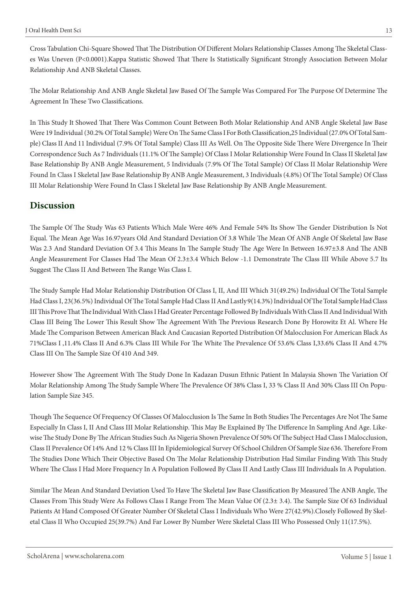Cross Tabulation Chi-Square Showed That The Distribution Of Different Molars Relationship Classes Among The Skeletal Classes Was Uneven (P<0.0001).Kappa Statistic Showed That There Is Statistically Significant Strongly Association Between Molar Relationship And ANB Skeletal Classes.

The Molar Relationship And ANB Angle Skeletal Jaw Based Of The Sample Was Compared For The Purpose Of Determine The Agreement In These Two Classifications.

In This Study It Showed That There Was Common Count Between Both Molar Relationship And ANB Angle Skeletal Jaw Base Were 19 Individual (30.2% Of Total Sample) Were On The Same Class I For Both Classification,25 Individual (27.0% Of Total Sample) Class II And 11 Individual (7.9% Of Total Sample) Class III As Well. On The Opposite Side There Were Divergence In Their Correspondence Such As 7 Individuals (11.1% Of The Sample) Of Class I Molar Relationship Were Found In Class II Skeletal Jaw Base Relationship By ANB Angle Measurement, 5 Individuals (7.9% Of The Total Sample) Of Class II Molar Relationship Were Found In Class I Skeletal Jaw Base Relationship By ANB Angle Measurement, 3 Individuals (4.8%) Of The Total Sample) Of Class III Molar Relationship Were Found In Class I Skeletal Jaw Base Relationship By ANB Angle Measurement.

### **Discussion**

The Sample Of The Study Was 63 Patients Which Male Were 46% And Female 54% Its Show The Gender Distribution Is Not Equal. The Mean Age Was 16.97years Old And Standard Deviation Of 3.8 While The Mean Of ANB Angle Of Skeletal Jaw Base Was 2.3 And Standard Deviation Of 3.4 This Means In The Sample Study The Age Were In Between 16.97±3.8 And The ANB Angle Measurement For Classes Had The Mean Of 2.3±3.4 Which Below -1.1 Demonstrate The Class III While Above 5.7 Its Suggest The Class II And Between The Range Was Class I.

The Study Sample Had Molar Relationship Distribution Of Class I, II, And III Which 31(49.2%) Individual Of The Total Sample Had Class I, 23(36.5%) Individual Of The Total Sample Had Class II And Lastly 9(14.3%) Individual Of The Total Sample Had Class III This Prove That The Individual With Class I Had Greater Percentage Followed By Individuals With Class II And Individual With Class III Being The Lower This Result Show The Agreement With The Previous Research Done By Horowitz Et Al. Where He Made The Comparison Between American Black And Caucasian Reported Distribution Of Malocclusion For American Black As 71%Class I ,11.4% Class II And 6.3% Class III While For The White The Prevalence Of 53.6% Class I,33.6% Class II And 4.7% Class III On The Sample Size Of 410 And 349.

However Show The Agreement With The Study Done In Kadazan Dusun Ethnic Patient In Malaysia Shown The Variation Of Molar Relationship Among The Study Sample Where The Prevalence Of 38% Class I, 33 % Class II And 30% Class III On Population Sample Size 345.

Though The Sequence Of Frequency Of Classes Of Malocclusion Is The Same In Both Studies The Percentages Are Not The Same Especially In Class I, II And Class III Molar Relationship. This May Be Explained By The Difference In Sampling And Age. Likewise The Study Done By The African Studies Such As Nigeria Shown Prevalence Of 50% Of The Subject Had Class I Malocclusion, Class II Prevalence Of 14% And 12 % Class III In Epidemiological Survey Of School Children Of Sample Size 636. Therefore From The Studies Done Which Their Objective Based On The Molar Relationship Distribution Had Similar Finding With This Study Where The Class I Had More Frequency In A Population Followed By Class II And Lastly Class III Individuals In A Population.

Similar The Mean And Standard Deviation Used To Have The Skeletal Jaw Base Classification By Measured The ANB Angle, The Classes From This Study Were As Follows Class I Range From The Mean Value Of (2.3± 3.4). The Sample Size Of 63 Individual Patients At Hand Composed Of Greater Number Of Skeletal Class I Individuals Who Were 27(42.9%).Closely Followed By Skeletal Class II Who Occupied 25(39.7%) And Far Lower By Number Were Skeletal Class III Who Possessed Only 11(17.5%).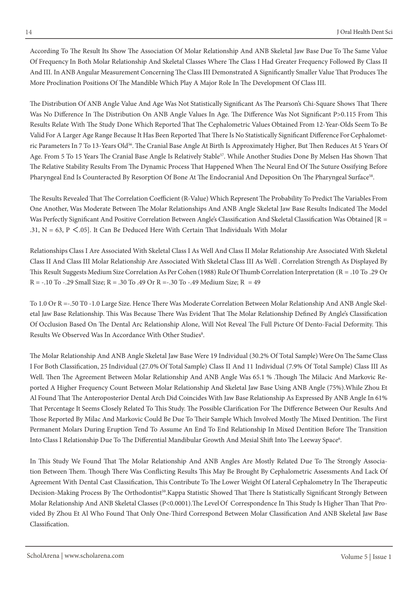According To The Result Its Show The Association Of Molar Relationship And ANB Skeletal Jaw Base Due To The Same Value Of Frequency In Both Molar Relationship And Skeletal Classes Where The Class I Had Greater Frequency Followed By Class II And III. In ANB Angular Measurement Concerning The Class III Demonstrated A Significantly Smaller Value That Produces The More Proclination Positions Of The Mandible Which Play A Major Role In The Development Of Class III.

The Distribution Of ANB Angle Value And Age Was Not Statistically Significant As The Pearson's Chi-Square Shows That There Was No Difference In The Distribution On ANB Angle Values In Age. The Difference Was Not Significant P>0.115 From This Results Relate With The Study Done Which Reported That The Cephalometric Values Obtained From 12-Year-Olds Seem To Be Valid For A Larger Age Range Because It Has Been Reported That There Is No Statistically Significant Difference For Cephalometric Parameters In 7 To 13-Years Old<sup>56</sup>. The Cranial Base Angle At Birth Is Approximately Higher, But Then Reduces At 5 Years Of Age. From 5 To 15 Years The Cranial Base Angle Is Relatively Stable<sup>57</sup>. While Another Studies Done By Melsen Has Shown That The Relative Stability Results From The Dynamic Process That Happened When The Neural End Of The Suture Ossifying Before Pharyngeal End Is Counteracted By Resorption Of Bone At The Endocranial And Deposition On The Pharyngeal Surface<sup>58</sup>.

The Results Revealed That The Correlation Coefficient (R-Value) Which Represent The Probability To Predict The Variables From One Another, Was Moderate Between The Molar Relationships And ANB Angle Skeletal Jaw Base Results Indicated The Model Was Perfectly Significant And Positive Correlation Between Angle's Classification And Skeletal Classification Was Obtained [R = .31,  $N = 63$ ,  $P < .05$ ]. It Can Be Deduced Here With Certain That Individuals With Molar

Relationships Class I Are Associated With Skeletal Class I As Well And Class II Molar Relationship Are Associated With Skeletal Class II And Class III Molar Relationship Are Associated With Skeletal Class III As Well . Correlation Strength As Displayed By This Result Suggests Medium Size Correlation As Per Cohen (1988) Rule Of Thumb Correlation Interpretation (R = .10 To .29 Or R = -.10 To -.29 Small Size; R = .30 To .49 Or R = -.30 To -.49 Medium Size; R = 49

To 1.0 Or R =-.50 T0 -1.0 Large Size. Hence There Was Moderate Correlation Between Molar Relationship And ANB Angle Skeletal Jaw Base Relationship. This Was Because There Was Evident That The Molar Relationship Defined By Angle's Classification Of Occlusion Based On The Dental Arc Relationship Alone, Will Not Reveal The Full Picture Of Dento-Facial Deformity. This Results We Observed Was In Accordance With Other Studies8.

The Molar Relationship And ANB Angle Skeletal Jaw Base Were 19 Individual (30.2% Of Total Sample) Were On The Same Class I For Both Classification, 25 Individual (27.0% Of Total Sample) Class II And 11 Individual (7.9% Of Total Sample) Class III As Well. Then The Agreement Between Molar Relationship And ANB Angle Was 65.1 % .Though The Milacic And Markovic Reported A Higher Frequency Count Between Molar Relationship And Skeletal Jaw Base Using ANB Angle (75%).While Zhou Et Al Found That The Anteroposterior Dental Arch Did Coincides With Jaw Base Relationship As Expressed By ANB Angle In 61% That Percentage It Seems Closely Related To This Study. The Possible Clarification For The Difference Between Our Results And Those Reported By Milac And Markovic Could Be Due To Their Sample Which Involved Mostly The Mixed Dentition. The First Permanent Molars During Eruption Tend To Assume An End To End Relationship In Mixed Dentition Before The Transition Into Class I Relationship Due To The Differential Mandibular Growth And Mesial Shift Into The Leeway Space<sup>6</sup>.

In This Study We Found That The Molar Relationship And ANB Angles Are Mostly Related Due To The Strongly Association Between Them. Though There Was Conflicting Results This May Be Brought By Cephalometric Assessments And Lack Of Agreement With Dental Cast Classification, This Contribute To The Lower Weight Of Lateral Cephalometry In The Therapeutic Decision-Making Process By The Orthodontist<sup>59</sup>.Kappa Statistic Showed That There Is Statistically Significant Strongly Between Molar Relationship And ANB Skeletal Classes (P<0.0001).The Level Of Correspondence In This Study Is Higher Than That Provided By Zhou Et Al Who Found That Only One-Third Correspond Between Molar Classification And ANB Skeletal Jaw Base Classification.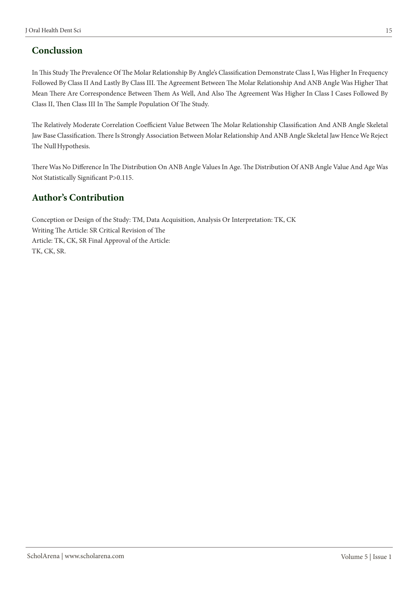# **Conclussion**

In This Study The Prevalence Of The Molar Relationship By Angle's Classification Demonstrate Class I, Was Higher In Frequency Followed By Class II And Lastly By Class III. The Agreement Between The Molar Relationship And ANB Angle Was Higher That Mean There Are Correspondence Between Them As Well, And Also The Agreement Was Higher In Class I Cases Followed By Class II, Then Class III In The Sample Population Of The Study.

The Relatively Moderate Correlation Coefficient Value Between The Molar Relationship Classification And ANB Angle Skeletal Jaw Base Classification. There Is Strongly Association Between Molar Relationship And ANB Angle Skeletal Jaw Hence We Reject The Null Hypothesis.

There Was No Difference In The Distribution On ANB Angle Values In Age. The Distribution Of ANB Angle Value And Age Was Not Statistically Significant P>0.115.

# **Author's Contribution**

Conception or Design of the Study: TM, Data Acquisition, Analysis Or Interpretation: TK, CK Writing The Article: SR Critical Revision of The Article: TK, CK, SR Final Approval of the Article: TK, CK, SR.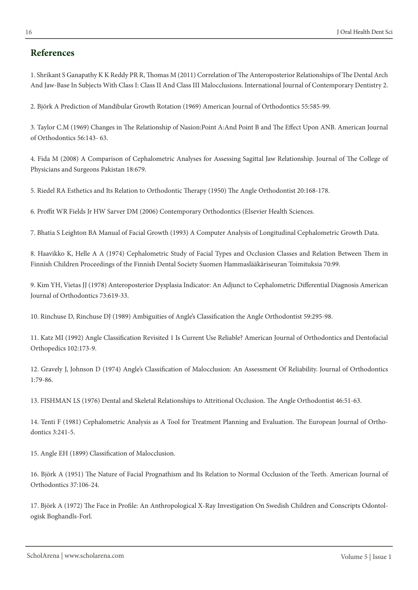# **References**

1. Shrikant S Ganapathy K K Reddy PR R, Thomas M (2011) Correlation of The Anteroposterior Relationships of The Dental Arch And Jaw-Base In Subjects With Class I: Class II And Class III Malocclusions. International Journal of Contemporary Dentistry 2.

2. Björk A Prediction of Mandibular Growth Rotation (1969) American Journal of Orthodontics 55:585-99.

3. Taylor C.M (1969) Changes in The Relationship of Nasion:Point A:And Point B and The Effect Upon ANB. American Journal of Orthodontics 56:143- 63.

4. Fida M (2008) A Comparison of Cephalometric Analyses for Assessing Sagittal Jaw Relationship. Journal of The College of Physicians and Surgeons Pakistan 18:679.

5. Riedel RA Esthetics and Its Relation to Orthodontic Therapy (1950) The Angle Orthodontist 20:168-178.

6. Proffit WR Fields Jr HW Sarver DM (2006) Contemporary Orthodontics (Elsevier Health Sciences.

7. Bhatia S Leighton BA Manual of Facial Growth (1993) A Computer Analysis of Longitudinal Cephalometric Growth Data.

8. Haavikko K, Helle A A (1974) Cephalometric Study of Facial Types and Occlusion Classes and Relation Between Them in Finnish Children Proceedings of the Finnish Dental Society Suomen Hammaslääkäriseuran Toimituksia 70:99.

9. Kim YH, Vietas JJ (1978) Anteroposterior Dysplasia Indicator: An Adjunct to Cephalometric Differential Diagnosis American Journal of Orthodontics 73:619-33.

10. Rinchuse D, Rinchuse DJ (1989) Ambiguities of Angle's Classification the Angle Orthodontist 59:295-98.

11. Katz MI (1992) Angle Classification Revisited 1 Is Current Use Reliable? American Journal of Orthodontics and Dentofacial Orthopedics 102:173-9.

12. Gravely J, Johnson D (1974) Angle's Classification of Malocclusion: An Assessment Of Reliability. Journal of Orthodontics 1:79-86.

13. FISHMAN LS (1976) Dental and Skeletal Relationships to Attritional Occlusion. The Angle Orthodontist 46:51-63.

14. Tenti F (1981) Cephalometric Analysis as A Tool for Treatment Planning and Evaluation. The European Journal of Orthodontics 3:241-5.

15. Angle EH (1899) Classification of Malocclusion.

16. Björk A (1951) The Nature of Facial Prognathism and Its Relation to Normal Occlusion of the Teeth. American Journal of Orthodontics 37:106-24.

17. Björk A (1972) The Face in Profile: An Anthropological X-Ray Investigation On Swedish Children and Conscripts Odontologisk Boghandls-Forl.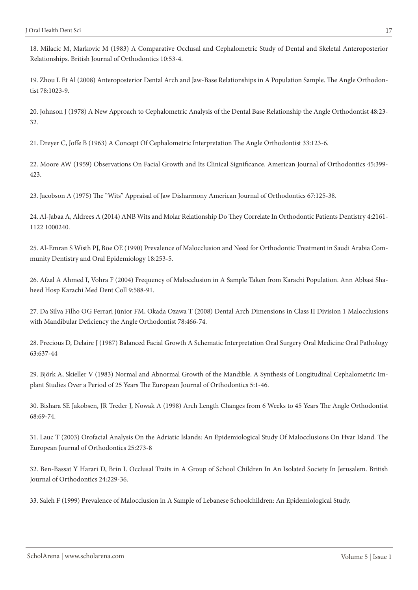18. Milacic M, Markovic M (1983) A Comparative Occlusal and Cephalometric Study of Dental and Skeletal Anteroposterior Relationships. British Journal of Orthodontics 10:53-4.

19. Zhou L Et Al (2008) Anteroposterior Dental Arch and Jaw-Base Relationships in A Population Sample. The Angle Orthodontist 78:1023-9.

20. Johnson J (1978) A New Approach to Cephalometric Analysis of the Dental Base Relationship the Angle Orthodontist 48:23- 32.

21. Dreyer C, Joffe B (1963) A Concept Of Cephalometric Interpretation The Angle Orthodontist 33:123-6.

22. Moore AW (1959) Observations On Facial Growth and Its Clinical Significance. American Journal of Orthodontics 45:399- 423.

23. Jacobson A (1975) The "Wits" Appraisal of Jaw Disharmony American Journal of Orthodontics 67:125-38.

24. Al-Jabaa A, Aldrees A (2014) ANB Wits and Molar Relationship Do They Correlate In Orthodontic Patients Dentistry 4:2161- 1122 1000240.

25. Al‐Emran S Wisth PJ, Böe OE (1990) Prevalence of Malocclusion and Need for Orthodontic Treatment in Saudi Arabia Community Dentistry and Oral Epidemiology 18:253-5.

26. Afzal A Ahmed I, Vohra F (2004) Frequency of Malocclusion in A Sample Taken from Karachi Population. Ann Abbasi Shaheed Hosp Karachi Med Dent Coll 9:588-91.

27. Da Silva Filho OG Ferrari Júnior FM, Okada Ozawa T (2008) Dental Arch Dimensions in Class II Division 1 Malocclusions with Mandibular Deficiency the Angle Orthodontist 78:466-74.

28. Precious D, Delaire J (1987) Balanced Facial Growth A Schematic Interpretation Oral Surgery Oral Medicine Oral Pathology 63:637-44

29. Björk A, Skieller V (1983) Normal and Abnormal Growth of the Mandible. A Synthesis of Longitudinal Cephalometric Implant Studies Over a Period of 25 Years The European Journal of Orthodontics 5:1-46.

30. Bishara SE Jakobsen, JR Treder J, Nowak A (1998) Arch Length Changes from 6 Weeks to 45 Years The Angle Orthodontist 68:69-74.

31. Lauc T (2003) Orofacial Analysis On the Adriatic Islands: An Epidemiological Study Of Malocclusions On Hvar Island. The European Journal of Orthodontics 25:273-8

32. Ben-Bassat Y Harari D, Brin I. Occlusal Traits in A Group of School Children In An Isolated Society In Jerusalem. British Journal of Orthodontics 24:229-36.

33. Saleh F (1999) Prevalence of Malocclusion in A Sample of Lebanese Schoolchildren: An Epidemiological Study.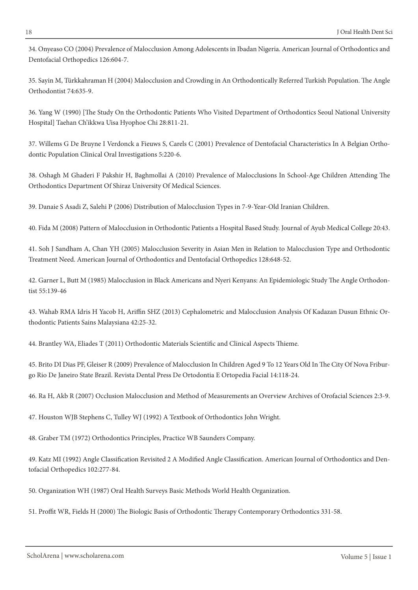34. Onyeaso CO (2004) Prevalence of Malocclusion Among Adolescents in Ibadan Nigeria. American Journal of Orthodontics and Dentofacial Orthopedics 126:604-7.

35. Sayin M, Türkkahraman H (2004) Malocclusion and Crowding in An Orthodontically Referred Turkish Population. The Angle Orthodontist 74:635-9.

36. Yang W (1990) [The Study On the Orthodontic Patients Who Visited Department of Orthodontics Seoul National University Hospital] Taehan Ch'ikkwa Uisa Hyophoe Chi 28:811-21.

37. Willems G De Bruyne I Verdonck a Fieuws S, Carels C (2001) Prevalence of Dentofacial Characteristics In A Belgian Orthodontic Population Clinical Oral Investigations 5:220-6.

38. Oshagh M Ghaderi F Pakshir H, Baghmollai A (2010) Prevalence of Malocclusions In School-Age Children Attending The Orthodontics Department Of Shiraz University Of Medical Sciences.

39. Danaie S Asadi Z, Salehi P (2006) Distribution of Malocclusion Types in 7-9-Year-Old Iranian Children.

40. Fida M (2008) Pattern of Malocclusion in Orthodontic Patients a Hospital Based Study. Journal of Ayub Medical College 20:43.

41. Soh J Sandham A, Chan YH (2005) Malocclusion Severity in Asian Men in Relation to Malocclusion Type and Orthodontic Treatment Need. American Journal of Orthodontics and Dentofacial Orthopedics 128:648-52.

42. Garner L, Butt M (1985) Malocclusion in Black Americans and Nyeri Kenyans: An Epidemiologic Study The Angle Orthodontist 55:139-46

43. Wahab RMA Idris H Yacob H, Ariffin SHZ (2013) Cephalometric and Malocclusion Analysis Of Kadazan Dusun Ethnic Orthodontic Patients Sains Malaysiana 42:25-32.

44. Brantley WA, Eliades T (2011) Orthodontic Materials Scientific and Clinical Aspects Thieme.

45. Brito DI Dias PF, Gleiser R (2009) Prevalence of Malocclusion In Children Aged 9 To 12 Years Old In The City Of Nova Friburgo Rio De Janeiro State Brazil. Revista Dental Press De Ortodontia E Ortopedia Facial 14:118-24.

46. Ra H, Akb R (2007) Occlusion Malocclusion and Method of Measurements an Overview Archives of Orofacial Sciences 2:3-9.

47. Houston WJB Stephens C, Tulley WJ (1992) A Textbook of Orthodontics John Wright.

48. Graber TM (1972) Orthodontics Principles, Practice WB Saunders Company.

49. Katz MI (1992) Angle Classification Revisited 2 A Modified Angle Classification. American Journal of Orthodontics and Dentofacial Orthopedics 102:277-84.

50. Organization WH (1987) Oral Health Surveys Basic Methods World Health Organization.

51. Proffit WR, Fields H (2000) The Biologic Basis of Orthodontic Therapy Contemporary Orthodontics 331-58.